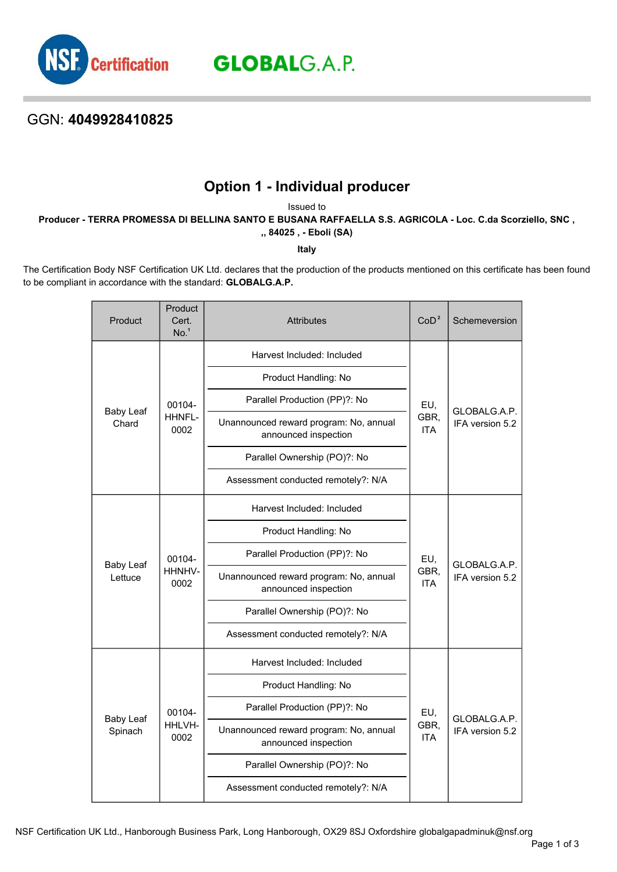

**GLOBAL**G.A.P.

## GGN: **4049928410825**

## **Option 1 - Individual producer**

Issued to

**Producer - TERRA PROMESSA DI BELLINA SANTO E BUSANA RAFFAELLA S.S. AGRICOLA - Loc. C.da Scorziello, SNC ,**

**,, 84025 , - Eboli (SA)**

**Italy**

The Certification Body NSF Certification UK Ltd. declares that the production of the products mentioned on this certificate has been found to be compliant in accordance with the standard: **GLOBALG.A.P.**

| Product                     | Product<br>Cert.<br>No. <sup>1</sup> | <b>Attributes</b>                                              | CoD <sup>2</sup>          | Schemeversion                   |
|-----------------------------|--------------------------------------|----------------------------------------------------------------|---------------------------|---------------------------------|
| <b>Baby Leaf</b><br>Chard   | 00104-<br>HHNFL-<br>0002             | Harvest Included: Included                                     | EU,<br>GBR,<br><b>ITA</b> | GLOBALG.A.P.<br>IFA version 5.2 |
|                             |                                      | Product Handling: No                                           |                           |                                 |
|                             |                                      | Parallel Production (PP)?: No                                  |                           |                                 |
|                             |                                      | Unannounced reward program: No, annual<br>announced inspection |                           |                                 |
|                             |                                      | Parallel Ownership (PO)?: No                                   |                           |                                 |
|                             |                                      | Assessment conducted remotely?: N/A                            |                           |                                 |
|                             | 00104-<br>HHNHV-<br>0002             | Harvest Included: Included                                     | EU,<br>GBR,<br><b>ITA</b> | GLOBALG.A.P.<br>IFA version 5.2 |
|                             |                                      | Product Handling: No                                           |                           |                                 |
| <b>Baby Leaf</b><br>Lettuce |                                      | Parallel Production (PP)?: No                                  |                           |                                 |
|                             |                                      | Unannounced reward program: No, annual<br>announced inspection |                           |                                 |
|                             |                                      | Parallel Ownership (PO)?: No                                   |                           |                                 |
|                             |                                      | Assessment conducted remotely?: N/A                            |                           |                                 |
| <b>Baby Leaf</b><br>Spinach | 00104-<br>HHLVH-<br>0002             | Harvest Included: Included                                     | EU,<br>GBR.<br><b>ITA</b> | GLOBALG.A.P.<br>IFA version 5.2 |
|                             |                                      | Product Handling: No                                           |                           |                                 |
|                             |                                      | Parallel Production (PP)?: No                                  |                           |                                 |
|                             |                                      | Unannounced reward program: No, annual<br>announced inspection |                           |                                 |
|                             |                                      | Parallel Ownership (PO)?: No                                   |                           |                                 |
|                             |                                      | Assessment conducted remotely?: N/A                            |                           |                                 |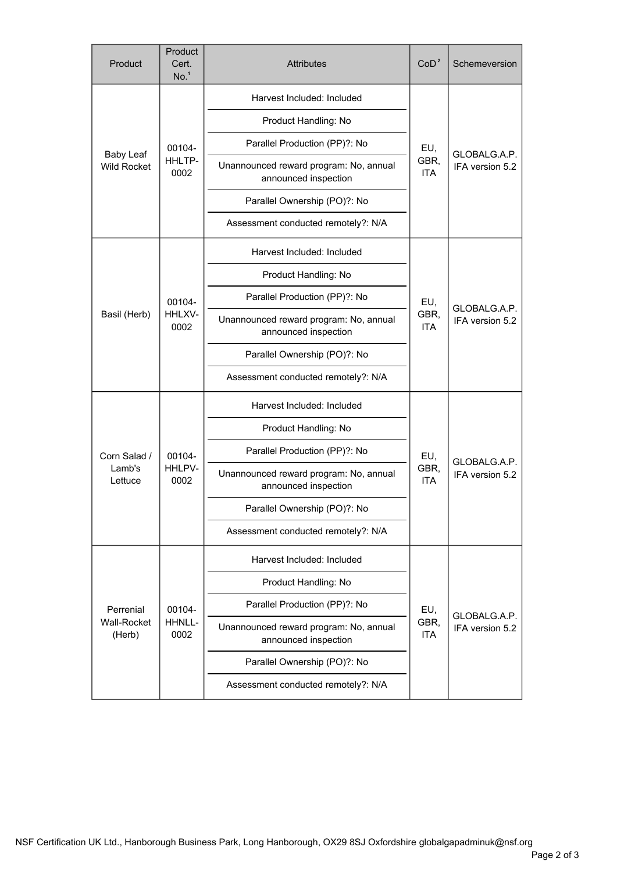| Product                                | Product<br>Cert.<br>No. <sup>1</sup> | <b>Attributes</b>                                              | CoD <sup>2</sup>          | Schemeversion                   |
|----------------------------------------|--------------------------------------|----------------------------------------------------------------|---------------------------|---------------------------------|
| <b>Baby Leaf</b><br><b>Wild Rocket</b> | 00104-<br>HHLTP-<br>0002             | Harvest Included: Included                                     | EU,<br>GBR,<br><b>ITA</b> | GLOBALG.A.P.<br>IFA version 5.2 |
|                                        |                                      | Product Handling: No                                           |                           |                                 |
|                                        |                                      | Parallel Production (PP)?: No                                  |                           |                                 |
|                                        |                                      | Unannounced reward program: No, annual<br>announced inspection |                           |                                 |
|                                        |                                      | Parallel Ownership (PO)?: No                                   |                           |                                 |
|                                        |                                      | Assessment conducted remotely?: N/A                            |                           |                                 |
| Basil (Herb)                           | 00104-<br>HHLXV-<br>0002             | Harvest Included: Included                                     | EU,<br>GBR,<br><b>ITA</b> | GLOBALG.A.P.<br>IFA version 5.2 |
|                                        |                                      | Product Handling: No                                           |                           |                                 |
|                                        |                                      | Parallel Production (PP)?: No                                  |                           |                                 |
|                                        |                                      | Unannounced reward program: No, annual<br>announced inspection |                           |                                 |
|                                        |                                      | Parallel Ownership (PO)?: No                                   |                           |                                 |
|                                        |                                      | Assessment conducted remotely?: N/A                            |                           |                                 |
|                                        | 00104-<br>HHLPV-<br>0002             | Harvest Included: Included                                     | EU,<br>GBR,<br><b>ITA</b> | GLOBALG.A.P.<br>IFA version 5.2 |
|                                        |                                      | Product Handling: No                                           |                           |                                 |
| Corn Salad /                           |                                      | Parallel Production (PP)?: No                                  |                           |                                 |
| Lamb's<br>Lettuce                      |                                      | Unannounced reward program: No, annual<br>announced inspection |                           |                                 |
|                                        |                                      | Parallel Ownership (PO)?: No                                   |                           |                                 |
|                                        |                                      | Assessment conducted remotely?: N/A                            |                           |                                 |
| Perrenial<br>Wall-Rocket<br>(Herb)     | 00104-<br>HHNLL-<br>0002             | Harvest Included: Included                                     | EU,<br>GBR,<br><b>ITA</b> | GLOBALG.A.P.<br>IFA version 5.2 |
|                                        |                                      | Product Handling: No                                           |                           |                                 |
|                                        |                                      | Parallel Production (PP)?: No                                  |                           |                                 |
|                                        |                                      | Unannounced reward program: No, annual<br>announced inspection |                           |                                 |
|                                        |                                      | Parallel Ownership (PO)?: No                                   |                           |                                 |
|                                        |                                      | Assessment conducted remotely?: N/A                            |                           |                                 |